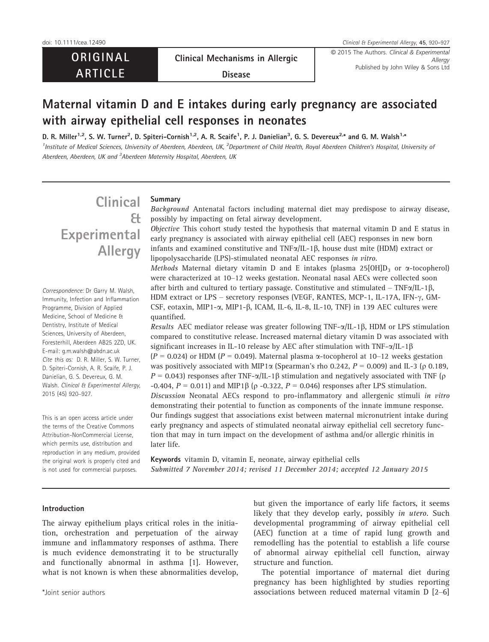**ORIGINAL** ARTICLE

Clinical Mechanisms in Allergic

doi: 10.1111/cea.12490 Clinical & Experimental Allergy, 45, 920–927

© 2015 The Authors. Clinical & Experimental Published by John Wiley & Sons Ltd

Disease

## Maternal vitamin D and E intakes during early pregnancy are associated with airway epithelial cell responses in neonates

D. R. Miller<sup>1,2</sup>, S. W. Turner<sup>2</sup>, D. Spiteri-Cornish<sup>1,2</sup>, A. R. Scaife<sup>1</sup>, P. J. Danielian<sup>3</sup>, G. S. Devereux<sup>2,\*</sup> and G. M. Walsh<sup>1,</sup>\* <sup>1</sup>Institute of Medical Sciences, University of Aberdeen, Aberdeen, UK, <sup>2</sup>Department of Child Health, Royal Aberdeen Children's Hospital, University oi Aberdeen, Aberdeen, UK and <sup>3</sup>Aberdeen Maternity Hospital, Aberdeen, UK

# **Clinical** & Experimental Allergy

Correspondence: Dr Garry M. Walsh, Immunity, Infection and Inflammation Programme, Division of Applied Medicine, School of Medicine & Dentistry, Institute of Medical Sciences, University of Aberdeen, Foresterhill, Aberdeen AB25 2ZD, UK. E-mail: g.m.walsh@abdn.ac.uk Cite this as: D. R. Miller, S. W. Turner, D. Spiteri-Cornish, A. R. Scaife, P. J. Danielian, G. S. Devereux, G. M. Walsh. Clinical & Experimental Allergy, 2015 (45) 920–927.

This is an open access article under the terms of the [Creative Commons](http://creativecommons.org/licenses/by-nc/4.0/) [Attribution-NonCommercial](http://creativecommons.org/licenses/by-nc/4.0/) License, which permits use, distribution and reproduction in any medium, provided the original work is properly cited and is not used for commercial purposes.

## Summary

Background Antenatal factors including maternal diet may predispose to airway disease, possibly by impacting on fetal airway development.

Objective This cohort study tested the hypothesis that maternal vitamin D and E status in early pregnancy is associated with airway epithelial cell (AEC) responses in new born infants and examined constitutive and  $TNF\alpha/IL-1\beta$ , house dust mite (HDM) extract or lipopolysaccharide (LPS)-stimulated neonatal AEC responses in vitro. Methods Maternal dietary vitamin D and E intakes (plasma 25[OH] $D_3$  or  $\alpha$ -tocopherol) were characterized at 10–12 weeks gestation. Neonatal nasal AECs were collected soon after birth and cultured to tertiary passage. Constitutive and stimulated –  $TNF\alpha/IL-1\beta$ , HDM extract or LPS – secretory responses (VEGF, RANTES, MCP-1, IL-17A, IFN- $\gamma$ , GM-CSF, eotaxin, MIP1- $\alpha$ , MIP1- $\beta$ , ICAM, IL-6, IL-8, IL-10, TNF) in 139 AEC cultures were quantified.

Results AEC mediator release was greater following TNF- $\alpha$ /IL-1 $\beta$ , HDM or LPS stimulation compared to constitutive release. Increased maternal dietary vitamin D was associated with significant increases in IL-10 release by AEC after stimulation with TNF- $\alpha$ /IL-1 $\beta$  $(P = 0.024)$  or HDM  $(P = 0.049)$ . Maternal plasma  $\alpha$ -tocopherol at 10–12 weeks gestation was positively associated with MIP1 $\alpha$  (Spearman's rho 0.242,  $P = 0.009$ ) and IL-3 ( $\rho$  0.189,  $P = 0.043$ ) responses after TNF- $\alpha$ /IL-1 $\beta$  stimulation and negatively associated with TNF ( $\rho$ -0.404,  $P = 0.011$ ) and MIP1 $\beta$  ( $\rho$  -0.322,  $P = 0.046$ ) responses after LPS stimulation. Discussion Neonatal AECs respond to pro-inflammatory and allergenic stimuli in vitro demonstrating their potential to function as components of the innate immune response. Our findings suggest that associations exist between maternal micronutrient intake during early pregnancy and aspects of stimulated neonatal airway epithelial cell secretory function that may in turn impact on the development of asthma and/or allergic rhinitis in later life.

Keywords vitamin D, vitamin E, neonate, airway epithelial cells Submitted 7 November 2014; revised 11 December 2014; accepted 12 January 2015

## Introduction

The airway epithelium plays critical roles in the initiation, orchestration and perpetuation of the airway immune and inflammatory responses of asthma. There is much evidence demonstrating it to be structurally and functionally abnormal in asthma [1]. However, what is not known is when these abnormalities develop, but given the importance of early life factors, it seems likely that they develop early, possibly *in utero*. Such developmental programming of airway epithelial cell (AEC) function at a time of rapid lung growth and remodelling has the potential to establish a life course of abnormal airway epithelial cell function, airway structure and function.

The potential importance of maternal diet during pregnancy has been highlighted by studies reporting \*Joint senior authors associations between reduced maternal vitamin D [2–6]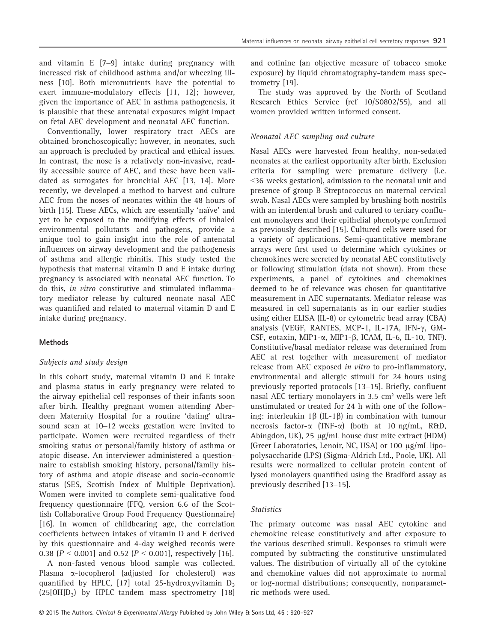and vitamin E [7–9] intake during pregnancy with increased risk of childhood asthma and/or wheezing illness [10]. Both micronutrients have the potential to exert immune-modulatory effects [11, 12]; however, given the importance of AEC in asthma pathogenesis, it is plausible that these antenatal exposures might impact on fetal AEC development and neonatal AEC function.

Conventionally, lower respiratory tract AECs are obtained bronchoscopically; however, in neonates, such an approach is precluded by practical and ethical issues. In contrast, the nose is a relatively non-invasive, readily accessible source of AEC, and these have been validated as surrogates for bronchial AEC [13, 14]. More recently, we developed a method to harvest and culture AEC from the noses of neonates within the 48 hours of birth [15]. These AECs, which are essentially 'naïve' and yet to be exposed to the modifying effects of inhaled environmental pollutants and pathogens, provide a unique tool to gain insight into the role of antenatal influences on airway development and the pathogenesis of asthma and allergic rhinitis. This study tested the hypothesis that maternal vitamin D and E intake during pregnancy is associated with neonatal AEC function. To do this, in vitro constitutive and stimulated inflammatory mediator release by cultured neonate nasal AEC was quantified and related to maternal vitamin D and E intake during pregnancy.

## Methods

#### Subjects and study design

In this cohort study, maternal vitamin D and E intake and plasma status in early pregnancy were related to the airway epithelial cell responses of their infants soon after birth. Healthy pregnant women attending Aberdeen Maternity Hospital for a routine 'dating' ultrasound scan at 10–12 weeks gestation were invited to participate. Women were recruited regardless of their smoking status or personal/family history of asthma or atopic disease. An interviewer administered a questionnaire to establish smoking history, personal/family history of asthma and atopic disease and socio-economic status (SES, Scottish Index of Multiple Deprivation). Women were invited to complete semi-qualitative food frequency questionnaire (FFQ, version 6.6 of the Scottish Collaborative Group Food Frequency Questionnaire) [16]. In women of childbearing age, the correlation coefficients between intakes of vitamin D and E derived by this questionnaire and 4-day weighed records were 0.38  $(P < 0.001]$  and 0.52  $(P < 0.001]$ , respectively [16].

A non-fasted venous blood sample was collected. Plasma  $\alpha$ -tocopherol (adjusted for cholesterol) was quantified by HPLC, [17] total 25-hydroxyvitamin  $D_3$  $(25[OH]D<sub>3</sub>)$  by HPLC–tandem mass spectrometry [18]

and cotinine (an objective measure of tobacco smoke exposure) by liquid chromatography-tandem mass spectrometry [19].

The study was approved by the North of Scotland Research Ethics Service (ref 10/S0802/55), and all women provided written informed consent.

## Neonatal AEC sampling and culture

Nasal AECs were harvested from healthy, non-sedated neonates at the earliest opportunity after birth. Exclusion criteria for sampling were premature delivery (i.e. <36 weeks gestation), admission to the neonatal unit and presence of group B Streptococcus on maternal cervical swab. Nasal AECs were sampled by brushing both nostrils with an interdental brush and cultured to tertiary confluent monolayers and their epithelial phenotype confirmed as previously described [15]. Cultured cells were used for a variety of applications. Semi-quantitative membrane arrays were first used to determine which cytokines or chemokines were secreted by neonatal AEC constitutively or following stimulation (data not shown). From these experiments, a panel of cytokines and chemokines deemed to be of relevance was chosen for quantitative measurement in AEC supernatants. Mediator release was measured in cell supernatants as in our earlier studies using either ELISA (IL-8) or cytometric bead array (CBA) analysis (VEGF, RANTES, MCP-1, IL-17A, IFN- $\gamma$ , GM-CSF, eotaxin, MIP1-α, MIP1-β, ICAM, IL-6, IL-10, TNF). Constitutive/basal mediator release was determined from AEC at rest together with measurement of mediator release from AEC exposed in vitro to pro-inflammatory, environmental and allergic stimuli for 24 hours using previously reported protocols [13–15]. Briefly, confluent nasal AEC tertiary monolayers in 3.5 cm² wells were left unstimulated or treated for 24 h with one of the following: interleukin  $1\beta$  (IL-1 $\beta$ ) in combination with tumour necrosis factor- $\alpha$  (TNF- $\alpha$ ) (both at 10 ng/mL, R&D, Abingdon, UK), 25 µg/mL house dust mite extract (HDM) (Greer Laboratories, Lenoir, NC, USA) or 100 μg/mL lipopolysaccharide (LPS) (Sigma-Aldrich Ltd., Poole, UK). All results were normalized to cellular protein content of lysed monolayers quantified using the Bradford assay as previously described [13–15].

#### **Statistics**

The primary outcome was nasal AEC cytokine and chemokine release constitutively and after exposure to the various described stimuli. Responses to stimuli were computed by subtracting the constitutive unstimulated values. The distribution of virtually all of the cytokine and chemokine values did not approximate to normal or log-normal distributions; consequently, nonparametric methods were used.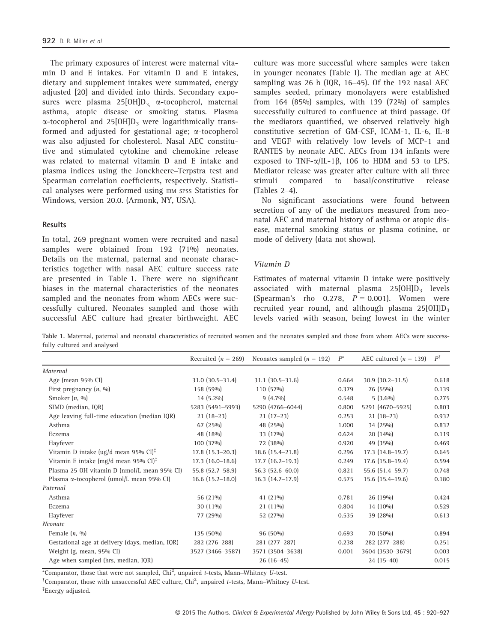The primary exposures of interest were maternal vitamin D and E intakes. For vitamin D and E intakes, dietary and supplement intakes were summated, energy adjusted [20] and divided into thirds. Secondary exposures were plasma  $25[OH]D_3$   $\alpha$ -tocopherol, maternal asthma, atopic disease or smoking status. Plasma  $\alpha$ -tocopherol and 25[OH]D<sub>3</sub> were logarithmically transformed and adjusted for gestational age; a-tocopherol was also adjusted for cholesterol. Nasal AEC constitutive and stimulated cytokine and chemokine release was related to maternal vitamin D and E intake and plasma indices using the Jonckheere–Terpstra test and Spearman correlation coefficients, respectively. Statistical analyses were performed using IBM SPSS Statistics for Windows, version 20.0. (Armonk, NY, USA).

#### **Results**

In total, 269 pregnant women were recruited and nasal samples were obtained from 192 (71%) neonates. Details on the maternal, paternal and neonate characteristics together with nasal AEC culture success rate are presented in Table 1. There were no significant biases in the maternal characteristics of the neonates sampled and the neonates from whom AECs were successfully cultured. Neonates sampled and those with successful AEC culture had greater birthweight. AEC culture was more successful where samples were taken in younger neonates (Table 1). The median age at AEC sampling was 26 h (IQR, 16–45). Of the 192 nasal AEC samples seeded, primary monolayers were established from 164 (85%) samples, with 139 (72%) of samples successfully cultured to confluence at third passage. Of the mediators quantified, we observed relatively high constitutive secretion of GM-CSF, ICAM-1, IL-6, IL-8 and VEGF with relatively low levels of MCP-1 and RANTES by neonate AEC. AECs from 134 infants were exposed to TNF- $\alpha$ /IL-1 $\beta$ , 106 to HDM and 53 to LPS. Mediator release was greater after culture with all three stimuli compared to basal/constitutive release (Tables 2–4).

No significant associations were found between secretion of any of the mediators measured from neonatal AEC and maternal history of asthma or atopic disease, maternal smoking status or plasma cotinine, or mode of delivery (data not shown).

## Vitamin D

Estimates of maternal vitamin D intake were positively associated with maternal plasma  $25[OH]D_3$  levels (Spearman's rho 0.278,  $P = 0.001$ ). Women were recruited year round, and although plasma  $25[OH]D_3$ levels varied with season, being lowest in the winter

Table 1. Maternal, paternal and neonatal characteristics of recruited women and the neonates sampled and those from whom AECs were successfully cultured and analysed

|                                                     | Recruited $(n = 269)$  | Neonates sampled $(n = 192)$ | $P^*$ | AEC cultured $(n = 139)$ | $P^{\dagger}$ |
|-----------------------------------------------------|------------------------|------------------------------|-------|--------------------------|---------------|
| Maternal                                            |                        |                              |       |                          |               |
| Age (mean 95% CI)                                   | $31.0$ $(30.5 - 31.4)$ | $31.1 (30.5 - 31.6)$         | 0.664 | $30.9$ $(30.2 - 31.5)$   | 0.618         |
| First pregnancy $(n, \sqrt{90})$                    | 158 (59%)              | $110(57\%)$                  | 0.379 | 76 (55%)                 | 0.139         |
| Smoker $(n, 90)$                                    | $14(5.2\%)$            | $9(4.7\%)$                   | 0.548 | $5(3.6\%)$               | 0.275         |
| SIMD (median, IQR)                                  | 5283 (5491-5993)       | 5290 (4766-6044)             | 0.800 | 5291 (4670-5925)         | 0.803         |
| Age leaving full-time education (median IQR)        | $21(18-23)$            | $21(17-23)$                  | 0.253 | $21(18-23)$              | 0.932         |
| Asthma                                              | 67 (25%)               | 48 (25%)                     | 1.000 | 34 (25%)                 | 0.832         |
| Eczema                                              | 48 (18%)               | 33 (17%)                     | 0.624 | $20(14\%)$               | 0.119         |
| Hayfever                                            | 100 (37%)              | 72 (38%)                     | 0.920 | 49 (35%)                 | 0.469         |
| Vitamin D intake (ug/d mean 95% $CI$ ) <sup>‡</sup> | $17.8$ (15.3-20.3)     | $18.6$ $(15.4 - 21.8)$       | 0.296 | $17.3(14.8-19.7)$        | 0.645         |
| Vitamin E intake (mg/d mean 95% CI) <sup>T</sup>    | $17.3(16.0-18.6)$      | $17.7$ (16.2-19.3)           | 0.249 | $17.6$ (15.8-19.4)       | 0.594         |
| Plasma 25 OH vitamin D (nmol/L mean 95% CI)         | 55.8 (52.7-58.9)       | $56.3(52.6 - 60.0)$          | 0.821 | 55.6 (51.4-59.7)         | 0.748         |
| Plasma α-tocopherol (umol/L mean 95% CI)            | $16.6$ $(15.2 - 18.0)$ | $16.3$ (14.7-17.9)           | 0.575 | $15.6$ (15.4-19.6)       | 0.180         |
| Paternal                                            |                        |                              |       |                          |               |
| Asthma                                              | 56 (21%)               | 41 $(21\%)$                  | 0.781 | $26(19\%)$               | 0.424         |
| Eczema                                              | 30 $(11\%)$            | $21(11\%)$                   | 0.804 | 14 (10%)                 | 0.529         |
| Hayfever                                            | 77 (29%)               | 52 (27%)                     | 0.535 | 39 (28%)                 | 0.613         |
| Neonate                                             |                        |                              |       |                          |               |
| Female $(n, 90)$                                    | 135 (50%)              | $96(50\%)$                   | 0.693 | 70 (50%)                 | 0.894         |
| Gestational age at delivery (days, median, IQR)     | 282 (276-288)          | $281(277-287)$               | 0.238 | 282 (277-288)            | 0.251         |
| Weight (g, mean, 95% CI)                            | 3527 (3466-3587)       | 3571 (3504-3638)             | 0.001 | 3604 (3530-3679)         | 0.003         |
| Age when sampled (hrs, median, IQR)                 |                        | $26(16-45)$                  |       | $24(15-40)$              | 0.015         |

\*Comparator, those that were not sampled,  $Chi^2$ , unpaired t-tests, Mann-Whitney U-test.

<sup>†</sup>Comparator, those with unsuccessful AEC culture, Chi<sup>2</sup>, unpaired t-tests, Mann–Whitney U-test.

‡ Energy adjusted.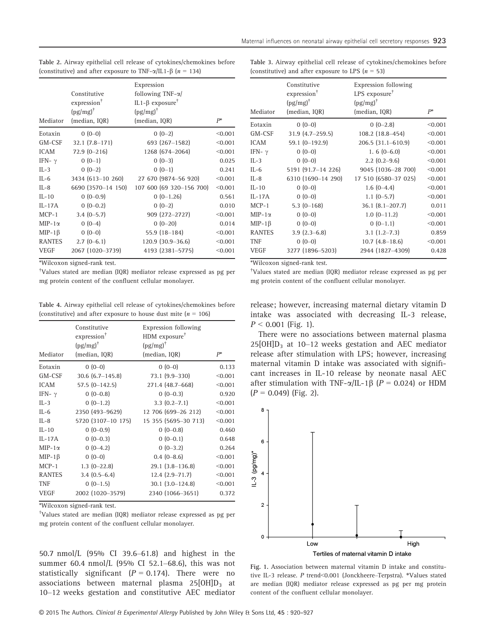| Mediator      | Constitutive<br>expression <sup>†</sup><br>$(pg/mg)$ <sup>†</sup><br>(median, IQR) | Expression<br>following TNF- $\alpha$ /<br>IL1-β exposure <sup>†</sup><br>$(pg/mg)^{\dagger}$<br>(median, IQR) | $P^*$   |
|---------------|------------------------------------------------------------------------------------|----------------------------------------------------------------------------------------------------------------|---------|
| Eotaxin       | $0(0-0)$                                                                           | $0(0-2)$                                                                                                       | < 0.001 |
| GM-CSF        | $32.1 (7.8 - 171)$                                                                 | 693 (267-1582)                                                                                                 | < 0.001 |
| <b>ICAM</b>   | $72.9(0 - 216)$                                                                    | 1268 (674-2064)                                                                                                | < 0.001 |
| IFN- $\gamma$ | $0(0-1)$                                                                           | $0(0-3)$                                                                                                       | 0.025   |
| $IL-3$        | $0(0-2)$                                                                           | $0(0-1)$                                                                                                       | 0.241   |
| $IL-6$        | 3434 (613-10 260)                                                                  | 27 670 (9874-56 920)                                                                                           | < 0.001 |
| $II - 8$      | 6690 (3570-14 150)                                                                 | 107 600 (69 320 - 156 700)                                                                                     | < 0.001 |
| $IL-10$       | $0(0-0.9)$                                                                         | $0(0-1.26)$                                                                                                    | 0.561   |
| $IL-17A$      | $0(0-0.2)$                                                                         | $0(0-2)$                                                                                                       | 0.010   |
| $MCP-1$       | $3.4(0-5.7)$                                                                       | 909 (272-2727)                                                                                                 | < 0.001 |
| $MIP-1\alpha$ | $0(0-4)$                                                                           | $0(0-20)$                                                                                                      | 0.014   |
| $MIP-1\beta$  | $0(0-0)$                                                                           | $55.9(18-184)$                                                                                                 | < 0.001 |
| <b>RANTES</b> | $2.7(0-6.1)$                                                                       | $120.9$ $(30.9-36.6)$                                                                                          | < 0.001 |
| <b>VEGF</b>   | 2067 (1020-3739)                                                                   | 4193 (2381-5775)                                                                                               | < 0.001 |

Table 2. Airway epithelial cell release of cytokines/chemokines before (constitutive) and after exposure to TNF- $\alpha$ /IL1-B ( $n = 134$ )

\*Wilcoxon signed-rank test.

† Values stated are median (IQR) mediator release expressed as pg per mg protein content of the confluent cellular monolayer.

Table 4. Airway epithelial cell release of cytokines/chemokines before (constitutive) and after exposure to house dust mite  $(n = 106)$ 

| Mediator      | Constitutive<br>expression <sup>†</sup><br>$(pg/mg)$ <sup>†</sup><br>(median, IQR) | <b>Expression following</b><br>HDM exposure <sup>†</sup><br>$(pg/mg)^{\dagger}$<br>(median, IQR) | $P^*$   |
|---------------|------------------------------------------------------------------------------------|--------------------------------------------------------------------------------------------------|---------|
| Eotaxin       | $0(0-0)$                                                                           | $0(0-0)$                                                                                         | 0.133   |
| GM-CSF        | $30.6$ $(6.7 - 145.8)$                                                             | 73.1 (9.9-330)                                                                                   | < 0.001 |
| <b>ICAM</b>   | $57.5$ (0-142.5)                                                                   | 271.4 (48.7–668)                                                                                 | < 0.001 |
| IFN- $\gamma$ | $0(0-0.8)$                                                                         | $0(0-0.3)$                                                                                       | 0.920   |
| $IL-3$        | $0(0-1.2)$                                                                         | $3.3(0.2 - 7.1)$                                                                                 | < 0.001 |
| $II - 6$      | 2350 (493-9629)                                                                    | 12 706 (699-26 212)                                                                              | < 0.001 |
| $IL-8$        | 5720 (3107-10 175)                                                                 | 15 355 (5695-30 713)                                                                             | < 0.001 |
| $IL-10$       | $0(0-0.9)$                                                                         | $0(0-0.8)$                                                                                       | 0.460   |
| $IL-17A$      | $0(0-0.3)$                                                                         | $0(0-0.1)$                                                                                       | 0.648   |
| $MIP-1\alpha$ | $0(0-4.2)$                                                                         | $0(0-3.2)$                                                                                       | 0.264   |
| $MIP-1\beta$  | $0(0-0)$                                                                           | $0.4(0 - 8.6)$                                                                                   | < 0.001 |
| $MCP-1$       | $1.3(0-22.8)$                                                                      | $29.1(3.8-136.8)$                                                                                | < 0.001 |
| <b>RANTES</b> | $3.4(0.5-6.4)$                                                                     | $12.4(2.9-71.7)$                                                                                 | < 0.001 |
| <b>TNF</b>    | $0(0-1.5)$                                                                         | $30.1(3.0-124.8)$                                                                                | < 0.001 |
| <b>VEGF</b>   | 2002 (1020-3579)                                                                   | 2340 (1066-3651)                                                                                 | 0.372   |
|               |                                                                                    |                                                                                                  |         |

\*Wilcoxon signed-rank test.

† Values stated are median (IQR) mediator release expressed as pg per mg protein content of the confluent cellular monolayer.

50.7 nmol/L (95% CI 39.6–61.8) and highest in the summer 60.4 nmol/L (95% CI 52.1–68.6), this was not statistically significant  $(P = 0.174)$ . There were no associations between maternal plasma  $25[OH]D_3$  at 10–12 weeks gestation and constitutive AEC mediator

| Table 3. Airway epithelial cell release of cytokines/chemokines before |  |  |  |
|------------------------------------------------------------------------|--|--|--|
| (constitutive) and after exposure to LPS $(n = 53)$                    |  |  |  |

| Mediator      | Constitutive<br>expression <sup>†</sup><br>$(pg/mg)^{\dagger}$<br>(median, IQR) | <b>Expression following</b><br>LPS exposure <sup>†</sup><br>$(pg/mg)^{\dagger}$<br>(median, IQR) | $P^*$   |
|---------------|---------------------------------------------------------------------------------|--------------------------------------------------------------------------------------------------|---------|
|               |                                                                                 |                                                                                                  |         |
| Eotaxin       | $0(0-0)$                                                                        | $0(0-2.8)$                                                                                       | < 0.001 |
| GM-CSF        | $31.9$ (4.7-259.5)                                                              | 108.2 (18.8-454)                                                                                 | < 0.001 |
| <b>ICAM</b>   | 59.1 (0-192.9)                                                                  | 206.5 (31.1-610.9)                                                                               | < 0.001 |
| IFN- $\gamma$ | $0(0-0)$                                                                        | 1. $6(0-6.0)$                                                                                    | < 0.001 |
| $IL-3$        | $0(0-0)$                                                                        | $2.2$ (0.2-9.6)                                                                                  | < 0.001 |
| $IL-6$        | 5191 (91.7-14 226)                                                              | 9045 (1036-28 700)                                                                               | < 0.001 |
| $IL-8$        | 6310 (1690-14 290)                                                              | 17 510 (6580-37 025)                                                                             | < 0.001 |
| $IL-10$       | $0(0-0)$                                                                        | $1.6(0-4.4)$                                                                                     | < 0.001 |
| $IL-17A$      | $0(0-0)$                                                                        | $1.1(0-5.7)$                                                                                     | < 0.001 |
| $MCP-1$       | $5.3(0-168)$                                                                    | $36.1$ $(8.1 - 207.7)$                                                                           | 0.011   |
| $MIP-1\alpha$ | $0(0-0)$                                                                        | $1.0$ (0-11.2)                                                                                   | < 0.001 |
| $MIP-1\beta$  | $0(0-0)$                                                                        | $0(0-1.1)$                                                                                       | < 0.001 |
| <b>RANTES</b> | $3.9(2.3-6.8)$                                                                  | $3.1(1.2 - 7.3)$                                                                                 | 0.859   |
| <b>TNF</b>    | $0(0-0)$                                                                        | $10.7$ $(4.8-18.6)$                                                                              | < 0.001 |
| <b>VEGF</b>   | 3277 (1896-5203)                                                                | 2944 (1827-4309)                                                                                 | 0.428   |

\*Wilcoxon signed-rank test.

† Values stated are median (IQR) mediator release expressed as pg per mg protein content of the confluent cellular monolayer.

release; however, increasing maternal dietary vitamin D intake was associated with decreasing IL-3 release,  $P < 0.001$  (Fig. 1).

There were no associations between maternal plasma  $25[OH]D_3$  at 10–12 weeks gestation and AEC mediator release after stimulation with LPS; however, increasing maternal vitamin D intake was associated with significant increases in IL-10 release by neonate nasal AEC after stimulation with TNF- $\alpha$ /IL-1 $\beta$  (P = 0.024) or HDM  $(P = 0.049)$  (Fig. 2).



Fig. 1. Association between maternal vitamin D intake and constitutive IL-3 release. P trend<0.001 (Jonckheere–Terpstra). \*Values stated are median (IQR) mediator release expressed as pg per mg protein content of the confluent cellular monolayer.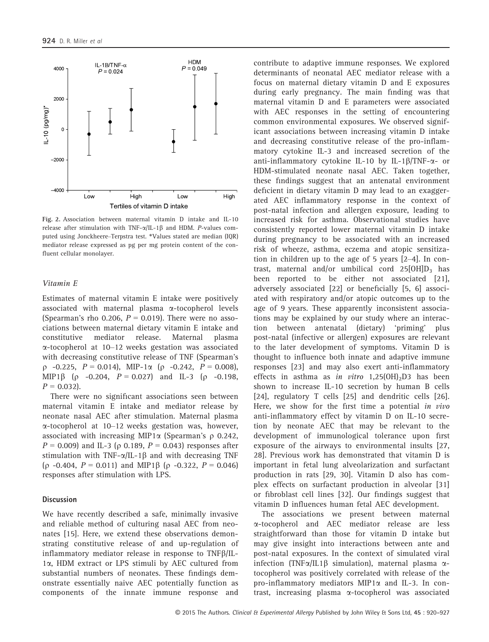

Fig. 2. Association between maternal vitamin D intake and IL-10 release after stimulation with TNF- $\alpha$ /IL-1 $\beta$  and HDM. P-values computed using Jonckheere–Terpstra test. \*Values stated are median (IQR) mediator release expressed as pg per mg protein content of the confluent cellular monolayer.

#### Vitamin E

Estimates of maternal vitamin E intake were positively associated with maternal plasma a-tocopherol levels (Spearman's rho 0.206,  $P = 0.019$ ). There were no associations between maternal dietary vitamin E intake and constitutive mediator release. Maternal plasma a-tocopherol at 10–12 weeks gestation was associated with decreasing constitutive release of TNF (Spearman's  $p -0.225$ ,  $P = 0.014$ ), MIP-1 $\alpha$  ( $p -0.242$ ,  $P = 0.008$ ), MIP1 $\beta$  ( $\rho$  -0.204,  $P = 0.027$ ) and IL-3 ( $\rho$  -0.198,  $P = 0.032$ ).

There were no significant associations seen between maternal vitamin E intake and mediator release by neonate nasal AEC after stimulation. Maternal plasma  $\alpha$ -tocopherol at 10–12 weeks gestation was, however, associated with increasing MIP1 $\alpha$  (Spearman's  $\rho$  0.242,  $P = 0.009$ ) and IL-3 ( $\rho$  0.189,  $P = 0.043$ ) responses after stimulation with TNF- $\alpha$ /IL-1 $\beta$  and with decreasing TNF  $(p -0.404, P = 0.011)$  and MIP1 $\beta$  ( $p -0.322, P = 0.046$ ) responses after stimulation with LPS.

#### **Discussion**

We have recently described a safe, minimally invasive and reliable method of culturing nasal AEC from neonates [15]. Here, we extend these observations demonstrating constitutive release of and up-regulation of inflammatory mediator release in response to  $TNF\beta/IL-$ 1a, HDM extract or LPS stimuli by AEC cultured from substantial numbers of neonates. These findings demonstrate essentially naive AEC potentially function as components of the innate immune response and

contribute to adaptive immune responses. We explored determinants of neonatal AEC mediator release with a focus on maternal dietary vitamin D and E exposures during early pregnancy. The main finding was that maternal vitamin D and E parameters were associated with AEC responses in the setting of encountering common environmental exposures. We observed significant associations between increasing vitamin D intake and decreasing constitutive release of the pro-inflammatory cytokine IL-3 and increased secretion of the anti-inflammatory cytokine IL-10 by IL-1 $\beta$ /TNF- $\alpha$ - or HDM-stimulated neonate nasal AEC. Taken together, these findings suggest that an antenatal environment deficient in dietary vitamin D may lead to an exaggerated AEC inflammatory response in the context of post-natal infection and allergen exposure, leading to increased risk for asthma. Observational studies have consistently reported lower maternal vitamin D intake during pregnancy to be associated with an increased risk of wheeze, asthma, eczema and atopic sensitization in children up to the age of 5 years [2–4]. In contrast, maternal and/or umbilical cord  $25[OH]D_3$  has been reported to be either not associated [21], adversely associated [22] or beneficially [5, 6] associated with respiratory and/or atopic outcomes up to the age of 9 years. These apparently inconsistent associations may be explained by our study where an interaction between antenatal (dietary) 'priming' plus post-natal (infective or allergen) exposures are relevant to the later development of symptoms. Vitamin D is thought to influence both innate and adaptive immune responses [23] and may also exert anti-inflammatory effects in asthma as in vitro  $1,25(OH)_{2}D3$  has been shown to increase IL-10 secretion by human B cells [24], regulatory T cells [25] and dendritic cells [26]. Here, we show for the first time a potential in vivo anti-inflammatory effect by vitamin D on IL-10 secretion by neonate AEC that may be relevant to the development of immunological tolerance upon first exposure of the airways to environmental insults [27, 28]. Previous work has demonstrated that vitamin D is important in fetal lung alveolarization and surfactant production in rats [29, 30]. Vitamin D also has complex effects on surfactant production in alveolar [31] or fibroblast cell lines [32]. Our findings suggest that vitamin D influences human fetal AEC development.

The associations we present between maternal a-tocopherol and AEC mediator release are less straightforward than those for vitamin D intake but may give insight into interactions between ante and post-natal exposures. In the context of simulated viral infection (TNF $\alpha$ /IL1 $\beta$  simulation), maternal plasma  $\alpha$ tocopherol was positively correlated with release of the pro-inflammatory mediators MIP1a and IL-3. In contrast, increasing plasma a-tocopherol was associated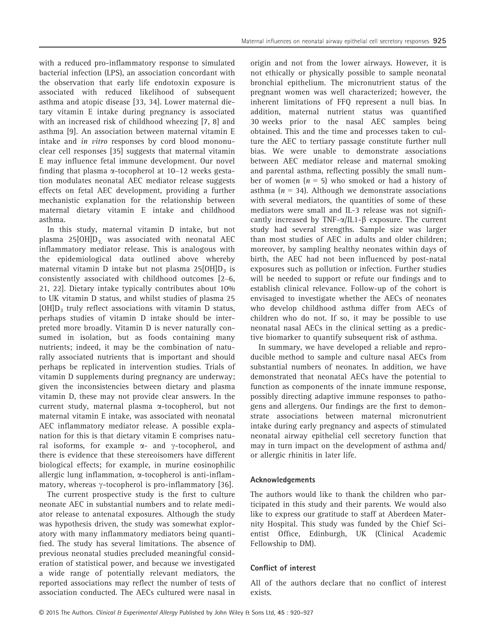with a reduced pro-inflammatory response to simulated bacterial infection (LPS), an association concordant with the observation that early life endotoxin exposure is associated with reduced likelihood of subsequent asthma and atopic disease [33, 34]. Lower maternal dietary vitamin E intake during pregnancy is associated with an increased risk of childhood wheezing [7, 8] and asthma [9]. An association between maternal vitamin E intake and in vitro responses by cord blood mononuclear cell responses [35] suggests that maternal vitamin E may influence fetal immune development. Our novel finding that plasma  $\alpha$ -tocopherol at 10–12 weeks gestation modulates neonatal AEC mediator release suggests effects on fetal AEC development, providing a further mechanistic explanation for the relationship between maternal dietary vitamin E intake and childhood asthma.

In this study, maternal vitamin D intake, but not plasma 25 $[OH]D_3$  was associated with neonatal AEC inflammatory mediator release. This is analogous with the epidemiological data outlined above whereby maternal vitamin D intake but not plasma  $25[OH]D<sub>3</sub>$  is consistently associated with childhood outcomes [2–6, 21, 22]. Dietary intake typically contributes about 10% to UK vitamin D status, and whilst studies of plasma 25  $[OH]D<sub>3</sub>$  truly reflect associations with vitamin D status, perhaps studies of vitamin D intake should be interpreted more broadly. Vitamin D is never naturally consumed in isolation, but as foods containing many nutrients; indeed, it may be the combination of naturally associated nutrients that is important and should perhaps be replicated in intervention studies. Trials of vitamin D supplements during pregnancy are underway; given the inconsistencies between dietary and plasma vitamin D, these may not provide clear answers. In the current study, maternal plasma a-tocopherol, but not maternal vitamin E intake, was associated with neonatal AEC inflammatory mediator release. A possible explanation for this is that dietary vitamin E comprises natural isoforms, for example  $\alpha$ - and  $\gamma$ -tocopherol, and there is evidence that these stereoisomers have different biological effects; for example, in murine eosinophilic allergic lung inflammation,  $\alpha$ -tocopherol is anti-inflammatory, whereas  $\gamma$ -tocopherol is pro-inflammatory [36].

The current prospective study is the first to culture neonate AEC in substantial numbers and to relate mediator release to antenatal exposures. Although the study was hypothesis driven, the study was somewhat exploratory with many inflammatory mediators being quantified. The study has several limitations. The absence of previous neonatal studies precluded meaningful consideration of statistical power, and because we investigated a wide range of potentially relevant mediators, the reported associations may reflect the number of tests of association conducted. The AECs cultured were nasal in

origin and not from the lower airways. However, it is not ethically or physically possible to sample neonatal bronchial epithelium. The micronutrient status of the pregnant women was well characterized; however, the inherent limitations of FFQ represent a null bias. In addition, maternal nutrient status was quantified 30 weeks prior to the nasal AEC samples being obtained. This and the time and processes taken to culture the AEC to tertiary passage constitute further null bias. We were unable to demonstrate associations between AEC mediator release and maternal smoking and parental asthma, reflecting possibly the small number of women  $(n = 5)$  who smoked or had a history of asthma ( $n = 34$ ). Although we demonstrate associations with several mediators, the quantities of some of these mediators were small and IL-3 release was not significantly increased by TNF- $\alpha$ /IL1- $\beta$  exposure. The current study had several strengths. Sample size was larger than most studies of AEC in adults and older children; moreover, by sampling healthy neonates within days of birth, the AEC had not been influenced by post-natal exposures such as pollution or infection. Further studies will be needed to support or refute our findings and to establish clinical relevance. Follow-up of the cohort is envisaged to investigate whether the AECs of neonates who develop childhood asthma differ from AECs of children who do not. If so, it may be possible to use neonatal nasal AECs in the clinical setting as a predictive biomarker to quantify subsequent risk of asthma.

In summary, we have developed a reliable and reproducible method to sample and culture nasal AECs from substantial numbers of neonates. In addition, we have demonstrated that neonatal AECs have the potential to function as components of the innate immune response, possibly directing adaptive immune responses to pathogens and allergens. Our findings are the first to demonstrate associations between maternal micronutrient intake during early pregnancy and aspects of stimulated neonatal airway epithelial cell secretory function that may in turn impact on the development of asthma and/ or allergic rhinitis in later life.

#### Acknowledgements

The authors would like to thank the children who participated in this study and their parents. We would also like to express our gratitude to staff at Aberdeen Maternity Hospital. This study was funded by the Chief Scientist Office, Edinburgh, UK (Clinical Academic Fellowship to DM).

## Conflict of interest

All of the authors declare that no conflict of interest exists.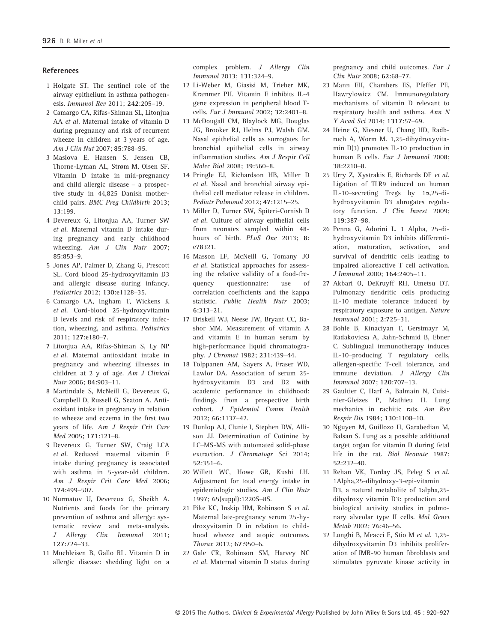#### **References**

- 1 Holgate ST. The sentinel role of the airway epithelium in asthma pathogenesis. Immunol Rev 2011; 242:205–19.
- 2 Camargo CA, Rifas-Shiman SL, Litonjua AA et al. Maternal intake of vitamin D during pregnancy and risk of recurrent wheeze in children at 3 years of age. Am J Clin Nut 2007; 85:788–95.
- 3 Maslova E, Hansen S, Jensen CB, Thorne-Lyman AL, Strøm M, Olsen SF. Vitamin D intake in mid-pregnancy and child allergic disease – a prospective study in 44,825 Danish motherchild pairs. BMC Preg Childbirth 2013; 13:199.
- 4 Devereux G, Litonjua AA, Turner SW et al. Maternal vitamin D intake during pregnancy and early childhood wheezing. Am J Clin Nutr 2007; 85:853–9.
- 5 Jones AP, Palmer D, Zhang G, Prescott SL. Cord blood 25-hydroxyvitamin D3 and allergic disease during infancy. Pediatrics 2012; 130:e1128–35.
- 6 Camargo CA, Ingham T, Wickens K et al. Cord-blood 25-hydroxyvitamin D levels and risk of respiratory infection, wheezing, and asthma. Pediatrics 2011; 127:e180–7.
- 7 Litonjua AA, Rifas-Shiman S, Ly NP et al. Maternal antioxidant intake in pregnancy and wheezing illnesses in children at 2 y of age. Am J Clinical Nutr 2006; 84:903–11.
- 8 Martindale S, McNeill G, Devereux G, Campbell D, Russell G, Seaton A. Antioxidant intake in pregnancy in relation to wheeze and eczema in the first two years of life. Am J Respir Crit Care Med 2005; 171:121–8.
- 9 Devereux G, Turner SW, Craig LCA et al. Reduced maternal vitamin E intake during pregnancy is associated with asthma in 5-year-old children. Am J Respir Crit Care Med 2006; 174:499–507.
- 10 Nurmatov U, Devereux G, Sheikh A. Nutrients and foods for the primary prevention of asthma and allergy: systematic review and meta-analysis. J Allergy Clin Immunol 2011; 127:724–33.
- 11 Muehleisen B, Gallo RL. Vitamin D in allergic disease: shedding light on a

complex problem. J Allergy Clin Immunol 2013; 131:324–9.

- 12 Li-Weber M, Giasisi M, Trieber MK, Krammer PH. Vitamin E inhibits IL-4 gene expression in peripheral blood Tcells. Eur J Immunol 2002; 32:2401–8.
- 13 McDougall CM, Blaylock MG, Douglas JG, Brooker RJ, Helms PJ, Walsh GM. Nasal epithelial cells as surrogates for bronchial epithelial cells in airway inflammation studies. Am J Respir Cell Molec Biol 2008; 39:560–8.
- 14 Pringle EJ, Richardson HB, Miller D et al. Nasal and bronchial airway epithelial cell mediator release in children. Pediatr Pulmonol 2012; 47:1215–25.
- 15 Miller D, Turner SW, Spiteri-Cornish D et al. Culture of airway epithelial cells from neonates sampled within 48 hours of birth. PLoS One 2013; 8: e78321.
- 16 Masson LF, McNeill G, Tomany JO et al. Statistical approaches for assessing the relative validity of a food-frequency questionnaire: use of correlation coefficients and the kappa statistic. Public Health Nutr 2003; 6:313–21.
- 17 Driskell WJ, Neese JW, Bryant CC, Bashor MM. Measurement of vitamin A and vitamin E in human serum by high-performance liquid chromatography. J Chromat 1982; 231:439–44.
- 18 Tolppanen AM, Sayers A, Fraser WD, Lawlor DA. Association of serum 25 hydroxyvitamin D3 and D2 with academic performance in childhood: findings from a prospective birth cohort. J Epidemiol Comm Health 2012; 66:1137–42.
- 19 Dunlop AJ, Clunie I, Stephen DW, Allison JJ. Determination of Cotinine by LC–MS-MS with automated solid-phase extraction. J Chromatoar Sci 2014: 52:351–6.
- 20 Willett WC, Howe GR, Kushi LH. Adjustment for total energy intake in epidemiologic studies. Am J Clin Nutr 1997; 65(suppl):1220S–8S.
- 21 Pike KC, Inskip HM, Robinson S et al. Maternal late-pregnancy serum 25-hydroxyvitamin D in relation to childhood wheeze and atopic outcomes. Thorax 2012; 67:950–6.
- 22 Gale CR, Robinson SM, Harvey NC et al. Maternal vitamin D status during

pregnancy and child outcomes. Eur J Clin Nutr 2008; 62:68–77.

- 23 Mann EH, Chambers ES, Pfeffer PE, Hawrylowicz CM. Immunoregulatory mechanisms of vitamin D relevant to respiratory health and asthma. Ann N Y Acad Sci 2014; 1317:57–69.
- 24 Heine G, Niesner U, Chang HD, Radbruch A, Worm M. 1,25-dihydroxyvitamin D(3) promotes IL-10 production in human B cells. Eur J Immunol 2008;  $38.2210 - 8$
- 25 Urry Z, Xystrakis E, Richards DF et al. Ligation of TLR9 induced on human IL-10–secreting Tregs by 1a,25-dihydroxyvitamin D3 abrogates regulatory function. J Clin Invest 2009; 119:387–98.
- 26 Penna G, Adorini L. 1 Alpha, 25-dihydroxyvitamin D3 inhibits differentiation, maturation, activation, and survival of dendritic cells leading to impaired alloreactive T cell activation. J Immunol 2000; 164:2405–11.
- 27 Akbari O, DeKruyff RH, Umetsu DT. Pulmonary dendritic cells producing IL-10 mediate tolerance induced by respiratory exposure to antigen. Nature Immunol 2001; 2:725–31.
- 28 Bohle B, Kinaciyan T, Gerstmayr M, Radakovicsa A, Jahn-Schmid B, Ebner C. Sublingual immunotherapy induces IL-10–producing T regulatory cells, allergen-specific T-cell tolerance, and immune deviation. J Allergy Clin Immunol 2007; 120:707–13.
- 29 Gaultier C, Harf A, Balmain N, Cuisinier-Gleizes P, Mathieu H. Lung mechanics in rachitic rats. Am Rev Respir Dis 1984; 130:1108–10.
- 30 Nguyen M, Guillozo H, Garabedian M, Balsan S. Lung as a possible additional target organ for vitamin D during fetal life in the rat. Biol Neonate 1987; 52:232–40.
- 31 Rehan VK, Torday JS, Peleg S et al. 1Alpha,25-dihydroxy-3-epi-vitamin D3, a natural metabolite of 1alpha,25 dihydroxy vitamin D3: production and biological activity studies in pulmonary alveolar type II cells. Mol Genet Metab 2002; 76:46–56.
- 32 Lunghi B, Meacci E, Stio M et al. 1,25 dihydroxyvitamin D3 inhibits proliferation of IMR-90 human fibroblasts and stimulates pyruvate kinase activity in